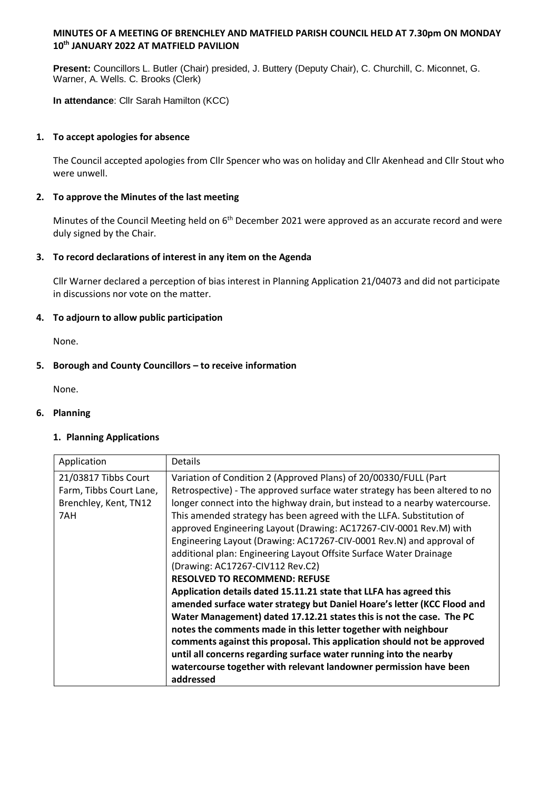## **MINUTES OF A MEETING OF BRENCHLEY AND MATFIELD PARISH COUNCIL HELD AT 7.30pm ON MONDAY 10th JANUARY 2022 AT MATFIELD PAVILION**

**Present:** Councillors L. Butler (Chair) presided, J. Buttery (Deputy Chair), C. Churchill, C. Miconnet, G. Warner, A. Wells. C. Brooks (Clerk)

**In attendance**: Cllr Sarah Hamilton (KCC)

## **1. To accept apologies for absence**

The Council accepted apologies from Cllr Spencer who was on holiday and Cllr Akenhead and Cllr Stout who were unwell.

## **2. To approve the Minutes of the last meeting**

Minutes of the Council Meeting held on 6<sup>th</sup> December 2021 were approved as an accurate record and were duly signed by the Chair.

## **3. To record declarations of interest in any item on the Agenda**

Cllr Warner declared a perception of bias interest in Planning Application 21/04073 and did not participate in discussions nor vote on the matter.

## **4. To adjourn to allow public participation**

None.

## **5. Borough and County Councillors – to receive information**

None.

#### **6. Planning**

#### **1. Planning Applications**

| Application                                                                     | <b>Details</b>                                                                                                                                                                                                                                                                                                                                                                                                                                                                                                                                                                                                                                                                                                                                                                                                                                                                                                                                                                                                                                                                                                                       |
|---------------------------------------------------------------------------------|--------------------------------------------------------------------------------------------------------------------------------------------------------------------------------------------------------------------------------------------------------------------------------------------------------------------------------------------------------------------------------------------------------------------------------------------------------------------------------------------------------------------------------------------------------------------------------------------------------------------------------------------------------------------------------------------------------------------------------------------------------------------------------------------------------------------------------------------------------------------------------------------------------------------------------------------------------------------------------------------------------------------------------------------------------------------------------------------------------------------------------------|
| 21/03817 Tibbs Court<br>Farm, Tibbs Court Lane,<br>Brenchley, Kent, TN12<br>7AH | Variation of Condition 2 (Approved Plans) of 20/00330/FULL (Part<br>Retrospective) - The approved surface water strategy has been altered to no<br>longer connect into the highway drain, but instead to a nearby watercourse.<br>This amended strategy has been agreed with the LLFA. Substitution of<br>approved Engineering Layout (Drawing: AC17267-CIV-0001 Rev.M) with<br>Engineering Layout (Drawing: AC17267-CIV-0001 Rev.N) and approval of<br>additional plan: Engineering Layout Offsite Surface Water Drainage<br>(Drawing: AC17267-CIV112 Rev.C2)<br><b>RESOLVED TO RECOMMEND: REFUSE</b><br>Application details dated 15.11.21 state that LLFA has agreed this<br>amended surface water strategy but Daniel Hoare's letter (KCC Flood and<br>Water Management) dated 17.12.21 states this is not the case. The PC<br>notes the comments made in this letter together with neighbour<br>comments against this proposal. This application should not be approved<br>until all concerns regarding surface water running into the nearby<br>watercourse together with relevant landowner permission have been<br>addressed |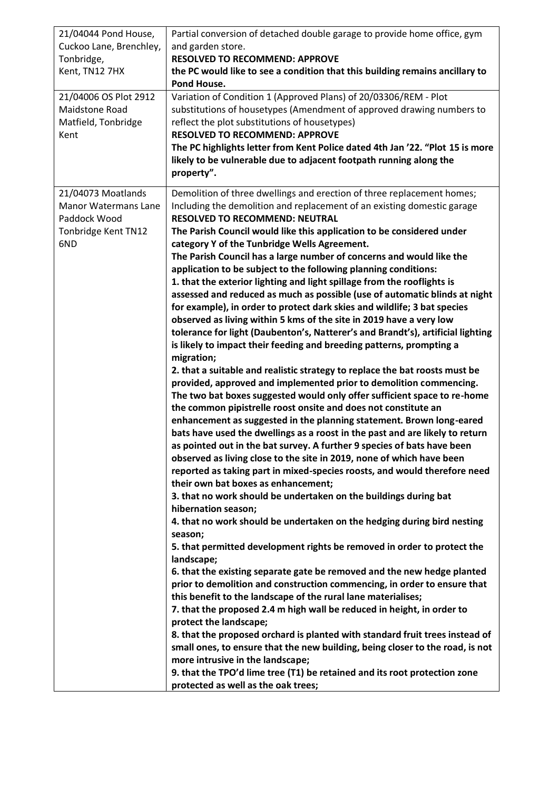| 21/04044 Pond House,<br>Cuckoo Lane, Brenchley,<br>Tonbridge,<br>Kent, TN12 7HX<br>21/04006 OS Plot 2912<br>Maidstone Road<br>Matfield, Tonbridge<br>Kent | Partial conversion of detached double garage to provide home office, gym<br>and garden store.<br><b>RESOLVED TO RECOMMEND: APPROVE</b><br>the PC would like to see a condition that this building remains ancillary to<br>Pond House.<br>Variation of Condition 1 (Approved Plans) of 20/03306/REM - Plot<br>substitutions of housetypes (Amendment of approved drawing numbers to<br>reflect the plot substitutions of housetypes)<br><b>RESOLVED TO RECOMMEND: APPROVE</b><br>The PC highlights letter from Kent Police dated 4th Jan '22. "Plot 15 is more<br>likely to be vulnerable due to adjacent footpath running along the<br>property".                                                                                                                                                                                                                                                                                                                                                                                                                                                                                                                                                                                                                                                                                                                                                                                                                                                                                                                                                                                                                                                                                                                                                                                                                                                                                                                                                                                                                                                                                                                                                                                                                                                                                                                                                                                                                                                                                                                                                                     |
|-----------------------------------------------------------------------------------------------------------------------------------------------------------|-----------------------------------------------------------------------------------------------------------------------------------------------------------------------------------------------------------------------------------------------------------------------------------------------------------------------------------------------------------------------------------------------------------------------------------------------------------------------------------------------------------------------------------------------------------------------------------------------------------------------------------------------------------------------------------------------------------------------------------------------------------------------------------------------------------------------------------------------------------------------------------------------------------------------------------------------------------------------------------------------------------------------------------------------------------------------------------------------------------------------------------------------------------------------------------------------------------------------------------------------------------------------------------------------------------------------------------------------------------------------------------------------------------------------------------------------------------------------------------------------------------------------------------------------------------------------------------------------------------------------------------------------------------------------------------------------------------------------------------------------------------------------------------------------------------------------------------------------------------------------------------------------------------------------------------------------------------------------------------------------------------------------------------------------------------------------------------------------------------------------------------------------------------------------------------------------------------------------------------------------------------------------------------------------------------------------------------------------------------------------------------------------------------------------------------------------------------------------------------------------------------------------------------------------------------------------------------------------------------------------|
| 21/04073 Moatlands<br><b>Manor Watermans Lane</b><br>Paddock Wood<br>Tonbridge Kent TN12<br>6ND                                                           | Demolition of three dwellings and erection of three replacement homes;<br>Including the demolition and replacement of an existing domestic garage<br><b>RESOLVED TO RECOMMEND: NEUTRAL</b><br>The Parish Council would like this application to be considered under<br>category Y of the Tunbridge Wells Agreement.<br>The Parish Council has a large number of concerns and would like the<br>application to be subject to the following planning conditions:<br>1. that the exterior lighting and light spillage from the rooflights is<br>assessed and reduced as much as possible (use of automatic blinds at night<br>for example), in order to protect dark skies and wildlife; 3 bat species<br>observed as living within 5 kms of the site in 2019 have a very low<br>tolerance for light (Daubenton's, Natterer's and Brandt's), artificial lighting<br>is likely to impact their feeding and breeding patterns, prompting a<br>migration;<br>2. that a suitable and realistic strategy to replace the bat roosts must be<br>provided, approved and implemented prior to demolition commencing.<br>The two bat boxes suggested would only offer sufficient space to re-home<br>the common pipistrelle roost onsite and does not constitute an<br>enhancement as suggested in the planning statement. Brown long-eared<br>bats have used the dwellings as a roost in the past and are likely to return<br>as pointed out in the bat survey. A further 9 species of bats have been<br>observed as living close to the site in 2019, none of which have been<br>reported as taking part in mixed-species roosts, and would therefore need<br>their own bat boxes as enhancement;<br>3. that no work should be undertaken on the buildings during bat<br>hibernation season;<br>4. that no work should be undertaken on the hedging during bird nesting<br>season;<br>5. that permitted development rights be removed in order to protect the<br>landscape;<br>6. that the existing separate gate be removed and the new hedge planted<br>prior to demolition and construction commencing, in order to ensure that<br>this benefit to the landscape of the rural lane materialises;<br>7. that the proposed 2.4 m high wall be reduced in height, in order to<br>protect the landscape;<br>8. that the proposed orchard is planted with standard fruit trees instead of<br>small ones, to ensure that the new building, being closer to the road, is not<br>more intrusive in the landscape;<br>9. that the TPO'd lime tree (T1) be retained and its root protection zone<br>protected as well as the oak trees; |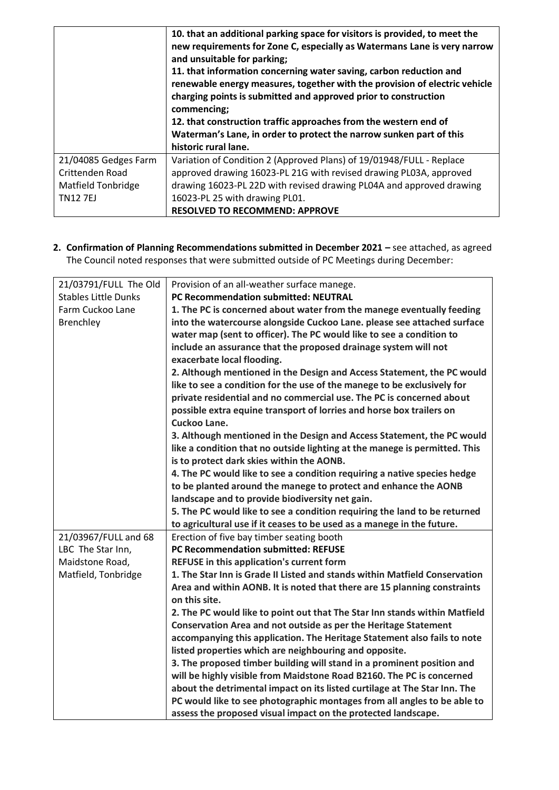|                           | 10. that an additional parking space for visitors is provided, to meet the<br>new requirements for Zone C, especially as Watermans Lane is very narrow<br>and unsuitable for parking;<br>11. that information concerning water saving, carbon reduction and<br>renewable energy measures, together with the provision of electric vehicle<br>charging points is submitted and approved prior to construction<br>commencing; |
|---------------------------|-----------------------------------------------------------------------------------------------------------------------------------------------------------------------------------------------------------------------------------------------------------------------------------------------------------------------------------------------------------------------------------------------------------------------------|
|                           | 12. that construction traffic approaches from the western end of                                                                                                                                                                                                                                                                                                                                                            |
|                           | Waterman's Lane, in order to protect the narrow sunken part of this                                                                                                                                                                                                                                                                                                                                                         |
|                           | historic rural lane.                                                                                                                                                                                                                                                                                                                                                                                                        |
| 21/04085 Gedges Farm      | Variation of Condition 2 (Approved Plans) of 19/01948/FULL - Replace                                                                                                                                                                                                                                                                                                                                                        |
| Crittenden Road           | approved drawing 16023-PL 21G with revised drawing PL03A, approved                                                                                                                                                                                                                                                                                                                                                          |
| <b>Matfield Tonbridge</b> | drawing 16023-PL 22D with revised drawing PL04A and approved drawing                                                                                                                                                                                                                                                                                                                                                        |
| <b>TN127EJ</b>            | 16023-PL 25 with drawing PL01.                                                                                                                                                                                                                                                                                                                                                                                              |
|                           | <b>RESOLVED TO RECOMMEND: APPROVE</b>                                                                                                                                                                                                                                                                                                                                                                                       |

**2. Confirmation of Planning Recommendations submitted in December 2021 – see attached, as agreed** The Council noted responses that were submitted outside of PC Meetings during December:

| 21/03791/FULL The Old       | Provision of an all-weather surface manege.                                |
|-----------------------------|----------------------------------------------------------------------------|
| <b>Stables Little Dunks</b> | <b>PC Recommendation submitted: NEUTRAL</b>                                |
| Farm Cuckoo Lane            |                                                                            |
|                             | 1. The PC is concerned about water from the manege eventually feeding      |
| Brenchley                   | into the watercourse alongside Cuckoo Lane. please see attached surface    |
|                             | water map (sent to officer). The PC would like to see a condition to       |
|                             | include an assurance that the proposed drainage system will not            |
|                             | exacerbate local flooding.                                                 |
|                             | 2. Although mentioned in the Design and Access Statement, the PC would     |
|                             | like to see a condition for the use of the manege to be exclusively for    |
|                             | private residential and no commercial use. The PC is concerned about       |
|                             | possible extra equine transport of lorries and horse box trailers on       |
|                             | Cuckoo Lane.                                                               |
|                             | 3. Although mentioned in the Design and Access Statement, the PC would     |
|                             | like a condition that no outside lighting at the manege is permitted. This |
|                             | is to protect dark skies within the AONB.                                  |
|                             | 4. The PC would like to see a condition requiring a native species hedge   |
|                             | to be planted around the manege to protect and enhance the AONB            |
|                             | landscape and to provide biodiversity net gain.                            |
|                             | 5. The PC would like to see a condition requiring the land to be returned  |
|                             | to agricultural use if it ceases to be used as a manege in the future.     |
| 21/03967/FULL and 68        | Erection of five bay timber seating booth                                  |
| LBC The Star Inn,           | <b>PC Recommendation submitted: REFUSE</b>                                 |
| Maidstone Road,             | REFUSE in this application's current form                                  |
| Matfield, Tonbridge         | 1. The Star Inn is Grade II Listed and stands within Matfield Conservation |
|                             | Area and within AONB. It is noted that there are 15 planning constraints   |
|                             | on this site.                                                              |
|                             | 2. The PC would like to point out that The Star Inn stands within Matfield |
|                             | Conservation Area and not outside as per the Heritage Statement            |
|                             |                                                                            |
|                             | accompanying this application. The Heritage Statement also fails to note   |
|                             | listed properties which are neighbouring and opposite.                     |
|                             | 3. The proposed timber building will stand in a prominent position and     |
|                             | will be highly visible from Maidstone Road B2160. The PC is concerned      |
|                             | about the detrimental impact on its listed curtilage at The Star Inn. The  |
|                             | PC would like to see photographic montages from all angles to be able to   |
|                             | assess the proposed visual impact on the protected landscape.              |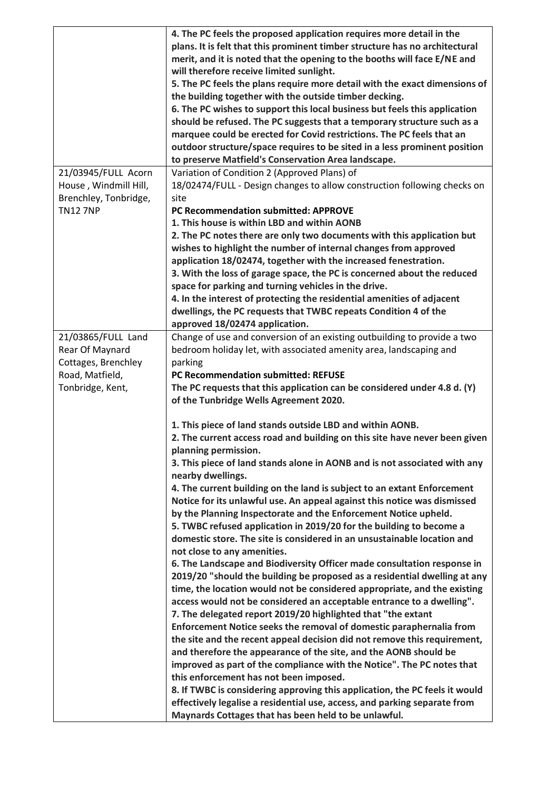|                       | 4. The PC feels the proposed application requires more detail in the        |
|-----------------------|-----------------------------------------------------------------------------|
|                       | plans. It is felt that this prominent timber structure has no architectural |
|                       | merit, and it is noted that the opening to the booths will face E/NE and    |
|                       | will therefore receive limited sunlight.                                    |
|                       | 5. The PC feels the plans require more detail with the exact dimensions of  |
|                       | the building together with the outside timber decking.                      |
|                       | 6. The PC wishes to support this local business but feels this application  |
|                       | should be refused. The PC suggests that a temporary structure such as a     |
|                       | marquee could be erected for Covid restrictions. The PC feels that an       |
|                       | outdoor structure/space requires to be sited in a less prominent position   |
|                       |                                                                             |
|                       | to preserve Matfield's Conservation Area landscape.                         |
| 21/03945/FULL Acorn   | Variation of Condition 2 (Approved Plans) of                                |
| House, Windmill Hill, | 18/02474/FULL - Design changes to allow construction following checks on    |
| Brenchley, Tonbridge, | site                                                                        |
| <b>TN12 7NP</b>       | PC Recommendation submitted: APPROVE                                        |
|                       | 1. This house is within LBD and within AONB                                 |
|                       | 2. The PC notes there are only two documents with this application but      |
|                       | wishes to highlight the number of internal changes from approved            |
|                       | application 18/02474, together with the increased fenestration.             |
|                       | 3. With the loss of garage space, the PC is concerned about the reduced     |
|                       | space for parking and turning vehicles in the drive.                        |
|                       | 4. In the interest of protecting the residential amenities of adjacent      |
|                       | dwellings, the PC requests that TWBC repeats Condition 4 of the             |
|                       | approved 18/02474 application.                                              |
| 21/03865/FULL Land    | Change of use and conversion of an existing outbuilding to provide a two    |
| Rear Of Maynard       | bedroom holiday let, with associated amenity area, landscaping and          |
| Cottages, Brenchley   | parking                                                                     |
| Road, Matfield,       | <b>PC Recommendation submitted: REFUSE</b>                                  |
| Tonbridge, Kent,      | The PC requests that this application can be considered under 4.8 d. (Y)    |
|                       | of the Tunbridge Wells Agreement 2020.                                      |
|                       | 1. This piece of land stands outside LBD and within AONB.                   |
|                       | 2. The current access road and building on this site have never been given  |
|                       | planning permission.                                                        |
|                       | 3. This piece of land stands alone in AONB and is not associated with any   |
|                       | nearby dwellings.                                                           |
|                       | 4. The current building on the land is subject to an extant Enforcement     |
|                       | Notice for its unlawful use. An appeal against this notice was dismissed    |
|                       | by the Planning Inspectorate and the Enforcement Notice upheld.             |
|                       | 5. TWBC refused application in 2019/20 for the building to become a         |
|                       | domestic store. The site is considered in an unsustainable location and     |
|                       | not close to any amenities.                                                 |
|                       | 6. The Landscape and Biodiversity Officer made consultation response in     |
|                       | 2019/20 "should the building be proposed as a residential dwelling at any   |
|                       | time, the location would not be considered appropriate, and the existing    |
|                       | access would not be considered an acceptable entrance to a dwelling".       |
|                       | 7. The delegated report 2019/20 highlighted that "the extant                |
|                       | Enforcement Notice seeks the removal of domestic paraphernalia from         |
|                       | the site and the recent appeal decision did not remove this requirement,    |
|                       | and therefore the appearance of the site, and the AONB should be            |
|                       | improved as part of the compliance with the Notice". The PC notes that      |
|                       | this enforcement has not been imposed.                                      |
|                       | 8. If TWBC is considering approving this application, the PC feels it would |
|                       | effectively legalise a residential use, access, and parking separate from   |
|                       | Maynards Cottages that has been held to be unlawful.                        |
|                       |                                                                             |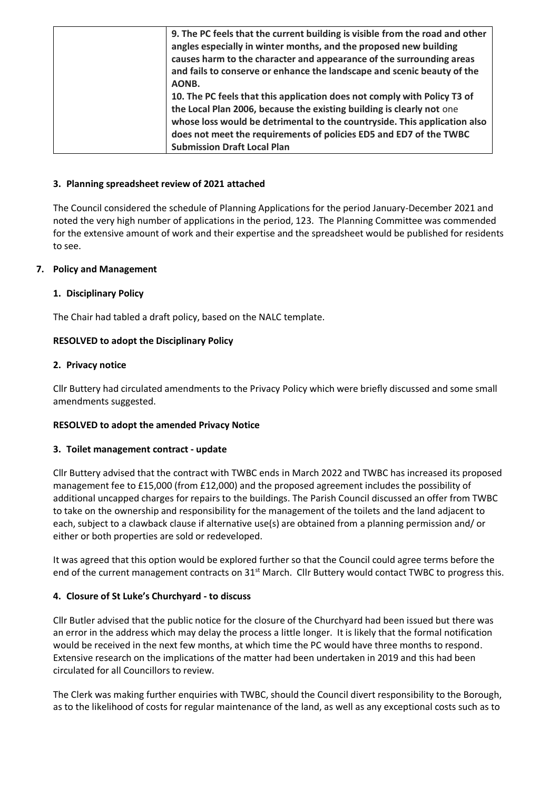| 9. The PC feels that the current building is visible from the road and other |
|------------------------------------------------------------------------------|
| angles especially in winter months, and the proposed new building            |
| causes harm to the character and appearance of the surrounding areas         |
| and fails to conserve or enhance the landscape and scenic beauty of the      |
| AONB.                                                                        |
| 10. The PC feels that this application does not comply with Policy T3 of     |
| the Local Plan 2006, because the existing building is clearly not one        |
| whose loss would be detrimental to the countryside. This application also    |
| does not meet the requirements of policies ED5 and ED7 of the TWBC           |
| <b>Submission Draft Local Plan</b>                                           |

### **3. Planning spreadsheet review of 2021 attached**

The Council considered the schedule of Planning Applications for the period January-December 2021 and noted the very high number of applications in the period, 123. The Planning Committee was commended for the extensive amount of work and their expertise and the spreadsheet would be published for residents to see.

## **7. Policy and Management**

## **1. Disciplinary Policy**

The Chair had tabled a draft policy, based on the NALC template.

## **RESOLVED to adopt the Disciplinary Policy**

#### **2. Privacy notice**

Cllr Buttery had circulated amendments to the Privacy Policy which were briefly discussed and some small amendments suggested.

#### **RESOLVED to adopt the amended Privacy Notice**

#### **3. Toilet management contract - update**

Cllr Buttery advised that the contract with TWBC ends in March 2022 and TWBC has increased its proposed management fee to £15,000 (from £12,000) and the proposed agreement includes the possibility of additional uncapped charges for repairs to the buildings. The Parish Council discussed an offer from TWBC to take on the ownership and responsibility for the management of the toilets and the land adjacent to each, subject to a clawback clause if alternative use(s) are obtained from a planning permission and/ or either or both properties are sold or redeveloped.

It was agreed that this option would be explored further so that the Council could agree terms before the end of the current management contracts on 31<sup>st</sup> March. Cllr Buttery would contact TWBC to progress this.

#### **4. Closure of St Luke's Churchyard - to discuss**

Cllr Butler advised that the public notice for the closure of the Churchyard had been issued but there was an error in the address which may delay the process a little longer. It is likely that the formal notification would be received in the next few months, at which time the PC would have three months to respond. Extensive research on the implications of the matter had been undertaken in 2019 and this had been circulated for all Councillors to review.

The Clerk was making further enquiries with TWBC, should the Council divert responsibility to the Borough, as to the likelihood of costs for regular maintenance of the land, as well as any exceptional costs such as to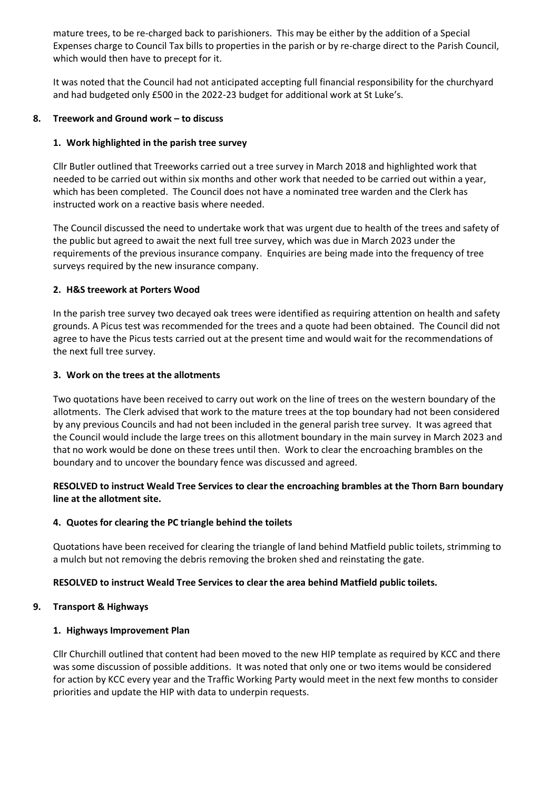mature trees, to be re-charged back to parishioners. This may be either by the addition of a Special Expenses charge to Council Tax bills to properties in the parish or by re-charge direct to the Parish Council, which would then have to precept for it.

It was noted that the Council had not anticipated accepting full financial responsibility for the churchyard and had budgeted only £500 in the 2022-23 budget for additional work at St Luke's.

## **8. Treework and Ground work – to discuss**

## **1. Work highlighted in the parish tree survey**

Cllr Butler outlined that Treeworks carried out a tree survey in March 2018 and highlighted work that needed to be carried out within six months and other work that needed to be carried out within a year, which has been completed. The Council does not have a nominated tree warden and the Clerk has instructed work on a reactive basis where needed.

The Council discussed the need to undertake work that was urgent due to health of the trees and safety of the public but agreed to await the next full tree survey, which was due in March 2023 under the requirements of the previous insurance company. Enquiries are being made into the frequency of tree surveys required by the new insurance company.

## **2. H&S treework at Porters Wood**

In the parish tree survey two decayed oak trees were identified as requiring attention on health and safety grounds. A Picus test was recommended for the trees and a quote had been obtained. The Council did not agree to have the Picus tests carried out at the present time and would wait for the recommendations of the next full tree survey.

## **3. Work on the trees at the allotments**

Two quotations have been received to carry out work on the line of trees on the western boundary of the allotments. The Clerk advised that work to the mature trees at the top boundary had not been considered by any previous Councils and had not been included in the general parish tree survey. It was agreed that the Council would include the large trees on this allotment boundary in the main survey in March 2023 and that no work would be done on these trees until then. Work to clear the encroaching brambles on the boundary and to uncover the boundary fence was discussed and agreed.

## **RESOLVED to instruct Weald Tree Services to clear the encroaching brambles at the Thorn Barn boundary line at the allotment site.**

## **4. Quotes for clearing the PC triangle behind the toilets**

Quotations have been received for clearing the triangle of land behind Matfield public toilets, strimming to a mulch but not removing the debris removing the broken shed and reinstating the gate.

## **RESOLVED to instruct Weald Tree Services to clear the area behind Matfield public toilets.**

#### **9. Transport & Highways**

## **1. Highways Improvement Plan**

Cllr Churchill outlined that content had been moved to the new HIP template as required by KCC and there was some discussion of possible additions. It was noted that only one or two items would be considered for action by KCC every year and the Traffic Working Party would meet in the next few months to consider priorities and update the HIP with data to underpin requests.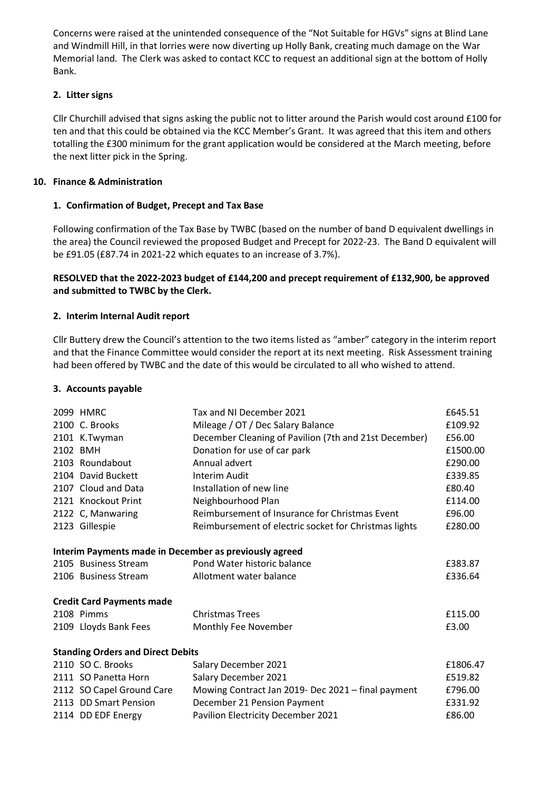Concerns were raised at the unintended consequence of the "Not Suitable for HGVs" signs at Blind Lane and Windmill Hill, in that lorries were now diverting up Holly Bank, creating much damage on the War Memorial land. The Clerk was asked to contact KCC to request an additional sign at the bottom of Holly Bank.

## **2. Litter signs**

Cllr Churchill advised that signs asking the public not to litter around the Parish would cost around £100 for ten and that this could be obtained via the KCC Member's Grant. It was agreed that this item and others totalling the £300 minimum for the grant application would be considered at the March meeting, before the next litter pick in the Spring.

# **10. Finance & Administration**

# **1. Confirmation of Budget, Precept and Tax Base**

Following confirmation of the Tax Base by TWBC (based on the number of band D equivalent dwellings in the area) the Council reviewed the proposed Budget and Precept for 2022-23. The Band D equivalent will be £91.05 (£87.74 in 2021-22 which equates to an increase of 3.7%).

## **RESOLVED that the 2022-2023 budget of £144,200 and precept requirement of £132,900, be approved and submitted to TWBC by the Clerk.**

# **2. Interim Internal Audit report**

Cllr Buttery drew the Council's attention to the two items listed as "amber" category in the interim report and that the Finance Committee would consider the report at its next meeting. Risk Assessment training had been offered by TWBC and the date of this would be circulated to all who wished to attend.

# **3. Accounts payable**

| 2099 HMRC                 | Tax and NI December 2021                              | £645.51                                                                                                                                                                                          |
|---------------------------|-------------------------------------------------------|--------------------------------------------------------------------------------------------------------------------------------------------------------------------------------------------------|
| 2100 C. Brooks            |                                                       | £109.92                                                                                                                                                                                          |
|                           |                                                       | £56.00                                                                                                                                                                                           |
| 2102 BMH                  | Donation for use of car park                          | £1500.00                                                                                                                                                                                         |
| 2103 Roundabout           | Annual advert                                         | £290.00                                                                                                                                                                                          |
| 2104 David Buckett        | Interim Audit                                         | £339.85                                                                                                                                                                                          |
| 2107 Cloud and Data       | Installation of new line                              | £80.40                                                                                                                                                                                           |
| 2121 Knockout Print       | Neighbourhood Plan                                    | £114.00                                                                                                                                                                                          |
| 2122 C, Manwaring         | Reimbursement of Insurance for Christmas Event        | £96.00                                                                                                                                                                                           |
| 2123 Gillespie            | Reimbursement of electric socket for Christmas lights | £280.00                                                                                                                                                                                          |
|                           |                                                       |                                                                                                                                                                                                  |
| 2105 Business Stream      | Pond Water historic balance                           | £383.87                                                                                                                                                                                          |
| 2106 Business Stream      | Allotment water balance                               | £336.64                                                                                                                                                                                          |
|                           |                                                       |                                                                                                                                                                                                  |
| 2108 Pimms                | <b>Christmas Trees</b>                                | £115.00                                                                                                                                                                                          |
| 2109 Lloyds Bank Fees     | Monthly Fee November                                  | £3.00                                                                                                                                                                                            |
|                           |                                                       |                                                                                                                                                                                                  |
| 2110 SO C. Brooks         | Salary December 2021                                  | £1806.47                                                                                                                                                                                         |
| 2111 SO Panetta Horn      | Salary December 2021                                  | £519.82                                                                                                                                                                                          |
| 2112 SO Capel Ground Care | Mowing Contract Jan 2019- Dec 2021 - final payment    | £796.00                                                                                                                                                                                          |
| 2113 DD Smart Pension     | December 21 Pension Payment                           | £331.92                                                                                                                                                                                          |
| 2114 DD EDF Energy        | Pavilion Electricity December 2021                    | £86.00                                                                                                                                                                                           |
|                           | 2101 K.Twyman<br><b>Credit Card Payments made</b>     | Mileage / OT / Dec Salary Balance<br>December Cleaning of Pavilion (7th and 21st December)<br>Interim Payments made in December as previously agreed<br><b>Standing Orders and Direct Debits</b> |